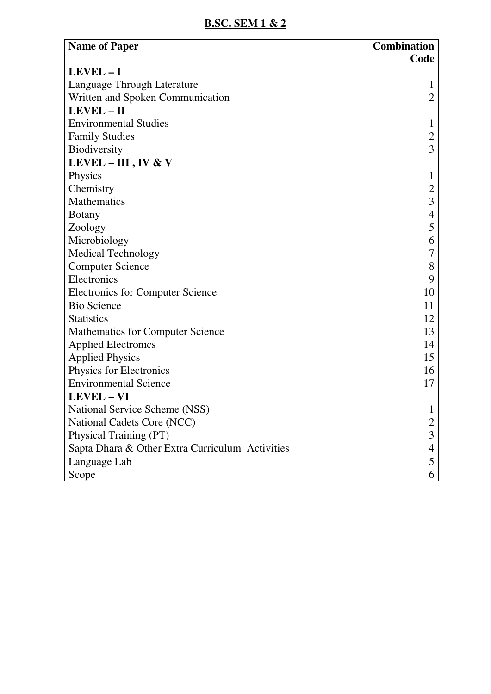## **B.SC. SEM 1 & 2**

| <b>Name of Paper</b>                            | <b>Combination</b><br>Code |
|-------------------------------------------------|----------------------------|
| LEVEL-I                                         |                            |
| Language Through Literature                     | 1                          |
| Written and Spoken Communication                | $\overline{2}$             |
| LEVEL-II                                        |                            |
| <b>Environmental Studies</b>                    | 1                          |
| <b>Family Studies</b>                           | $\overline{2}$             |
| Biodiversity                                    | $\overline{3}$             |
| LEVEL $-$ III, IV & V                           |                            |
| Physics                                         | $\mathbf{1}$               |
| Chemistry                                       | $\overline{2}$             |
| Mathematics                                     | 3                          |
| <b>Botany</b>                                   | $\overline{4}$             |
| Zoology                                         | 5                          |
| Microbiology                                    | 6                          |
| <b>Medical Technology</b>                       | $\overline{7}$             |
| <b>Computer Science</b>                         | 8                          |
| Electronics                                     | 9                          |
| <b>Electronics for Computer Science</b>         | 10                         |
| <b>Bio Science</b>                              | 11                         |
| <b>Statistics</b>                               | 12                         |
| <b>Mathematics for Computer Science</b>         | 13                         |
| <b>Applied Electronics</b>                      | 14                         |
| <b>Applied Physics</b>                          | 15                         |
| Physics for Electronics                         | 16                         |
| <b>Environmental Science</b>                    | 17                         |
| <b>LEVEL - VI</b>                               |                            |
| National Service Scheme (NSS)                   | $\blacktriangleleft$<br>T  |
| National Cadets Core (NCC)                      | $\overline{2}$             |
| Physical Training (PT)                          | $\overline{3}$             |
| Sapta Dhara & Other Extra Curriculum Activities | $\overline{4}$             |
| Language Lab                                    | 5                          |
| Scope                                           | 6                          |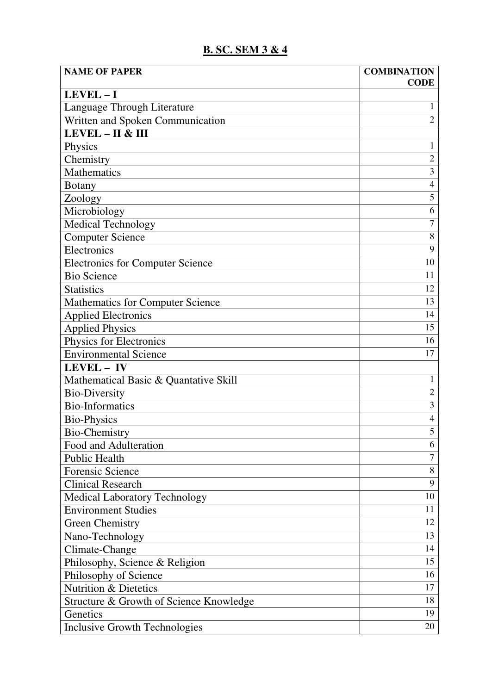## **B. SC. SEM 3 & 4**

| <b>NAME OF PAPER</b>                    | <b>COMBINATION</b>      |
|-----------------------------------------|-------------------------|
| LEVEL-I                                 | <b>CODE</b>             |
| Language Through Literature             | 1                       |
| Written and Spoken Communication        | $\overline{2}$          |
| LEVEL - II & III                        |                         |
| Physics                                 | $\mathbf{1}$            |
| Chemistry                               | $\overline{c}$          |
| <b>Mathematics</b>                      | $\overline{\mathbf{3}}$ |
| <b>Botany</b>                           | $\overline{4}$          |
| Zoology                                 | 5                       |
| Microbiology                            | 6                       |
| <b>Medical Technology</b>               | $\overline{7}$          |
| <b>Computer Science</b>                 | 8                       |
| Electronics                             | 9                       |
| <b>Electronics for Computer Science</b> | 10                      |
| <b>Bio Science</b>                      | 11                      |
| <b>Statistics</b>                       | 12                      |
| <b>Mathematics for Computer Science</b> | 13                      |
| <b>Applied Electronics</b>              | 14                      |
| <b>Applied Physics</b>                  | 15                      |
| Physics for Electronics                 | 16                      |
| <b>Environmental Science</b>            | 17                      |
| LEVEL - IV                              |                         |
| Mathematical Basic & Quantative Skill   | $\mathbf{1}$            |
| <b>Bio-Diversity</b>                    | $\overline{2}$          |
| <b>Bio-Informatics</b>                  | $\overline{3}$          |
| <b>Bio-Physics</b>                      | 4                       |
| <b>Bio-Chemistry</b>                    | 5                       |
| Food and Adulteration                   | 6                       |
| <b>Public Health</b>                    | 7                       |
| <b>Forensic Science</b>                 | 8                       |
| <b>Clinical Research</b>                | 9                       |
| <b>Medical Laboratory Technology</b>    | 10                      |
| <b>Environment Studies</b>              | 11                      |
| <b>Green Chemistry</b>                  | 12                      |
| Nano-Technology                         | 13                      |
| Climate-Change                          | 14                      |
| Philosophy, Science & Religion          | 15                      |
| Philosophy of Science                   | 16                      |
| <b>Nutrition &amp; Dietetics</b>        | 17                      |
| Structure & Growth of Science Knowledge | 18                      |
| Genetics                                | 19                      |
| <b>Inclusive Growth Technologies</b>    | 20                      |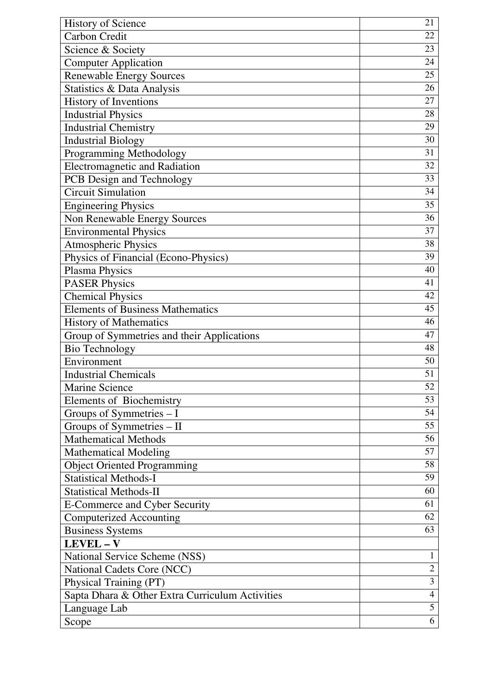| <b>History of Science</b>                       | 21                                        |
|-------------------------------------------------|-------------------------------------------|
| Carbon Credit                                   | 22                                        |
| Science & Society                               | 23                                        |
| <b>Computer Application</b>                     | 24                                        |
| <b>Renewable Energy Sources</b>                 | 25                                        |
| Statistics & Data Analysis                      | 26                                        |
| History of Inventions                           | 27                                        |
| <b>Industrial Physics</b>                       | 28                                        |
| <b>Industrial Chemistry</b>                     | 29                                        |
| <b>Industrial Biology</b>                       | 30                                        |
| Programming Methodology                         | 31                                        |
| Electromagnetic and Radiation                   | 32                                        |
| PCB Design and Technology                       | 33                                        |
| <b>Circuit Simulation</b>                       | 34                                        |
| <b>Engineering Physics</b>                      | 35                                        |
| Non Renewable Energy Sources                    | 36                                        |
| <b>Environmental Physics</b>                    | 37                                        |
| <b>Atmospheric Physics</b>                      | 38                                        |
| Physics of Financial (Econo-Physics)            | 39                                        |
| Plasma Physics                                  | 40                                        |
| <b>PASER Physics</b>                            | 41                                        |
| <b>Chemical Physics</b>                         | 42                                        |
| <b>Elements of Business Mathematics</b>         | 45                                        |
| <b>History of Mathematics</b>                   | 46                                        |
| Group of Symmetries and their Applications      | 47                                        |
| <b>Bio Technology</b>                           | 48                                        |
| Environment                                     | 50                                        |
| <b>Industrial Chemicals</b>                     | 51                                        |
| Marine Science                                  | 52                                        |
| <b>Elements of Biochemistry</b>                 | 53                                        |
| Groups of Symmetries $-I$                       | 54                                        |
| Groups of Symmetries - II                       | 55                                        |
| <b>Mathematical Methods</b>                     | 56                                        |
| <b>Mathematical Modeling</b>                    | 57                                        |
| <b>Object Oriented Programming</b>              | 58                                        |
| <b>Statistical Methods-I</b>                    | 59                                        |
| <b>Statistical Methods-II</b>                   | 60                                        |
| E-Commerce and Cyber Security                   | 61                                        |
| <b>Computerized Accounting</b>                  | 62                                        |
| <b>Business Systems</b>                         | 63                                        |
| LEVEL-V                                         |                                           |
| National Service Scheme (NSS)                   | $\mathbf{1}$                              |
| National Cadets Core (NCC)                      | $\overline{c}$<br>$\overline{\mathbf{3}}$ |
| Physical Training (PT)                          |                                           |
| Sapta Dhara & Other Extra Curriculum Activities | $\overline{4}$<br>5                       |
| Language Lab                                    |                                           |
| Scope                                           | 6                                         |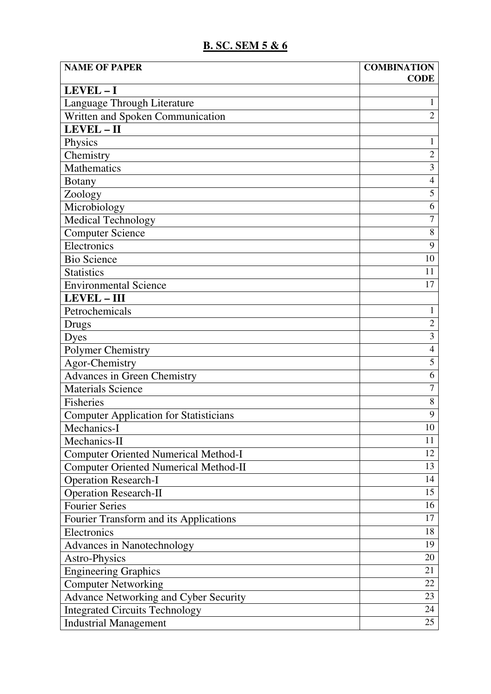## **B. SC. SEM 5 & 6**

| <b>NAME OF PAPER</b>                                            | <b>COMBINATION</b>      |
|-----------------------------------------------------------------|-------------------------|
|                                                                 | <b>CODE</b>             |
| LEVEL-I                                                         | 1                       |
| Language Through Literature<br>Written and Spoken Communication | $\overline{2}$          |
| LEVEL-II                                                        |                         |
|                                                                 | $\mathbf{1}$            |
| Physics                                                         | $\overline{2}$          |
| Chemistry<br><b>Mathematics</b>                                 | $\overline{\mathbf{3}}$ |
|                                                                 | $\overline{4}$          |
| <b>Botany</b>                                                   | 5                       |
| Zoology                                                         | 6                       |
| Microbiology                                                    | 7                       |
| <b>Medical Technology</b>                                       | 8                       |
| <b>Computer Science</b><br>Electronics                          | 9                       |
| <b>Bio Science</b>                                              | 10                      |
| <b>Statistics</b>                                               | 11                      |
|                                                                 | 17                      |
| <b>Environmental Science</b>                                    |                         |
| LEVEL - III                                                     | $\mathbf{1}$            |
| Petrochemicals                                                  | $\overline{2}$          |
| Drugs                                                           | $\overline{3}$          |
| Dyes                                                            | $\overline{4}$          |
| <b>Polymer Chemistry</b>                                        | 5                       |
| Agor-Chemistry                                                  | 6                       |
| <b>Advances in Green Chemistry</b>                              | 7                       |
| <b>Materials Science</b><br><b>Fisheries</b>                    | 8                       |
|                                                                 | 9                       |
| <b>Computer Application for Statisticians</b>                   | 10                      |
| Mechanics-I<br>Mechanics-II                                     | 11                      |
|                                                                 | 12                      |
| <b>Computer Oriented Numerical Method-I</b>                     | 13                      |
| <b>Computer Oriented Numerical Method-II</b>                    | 14                      |
| <b>Operation Research-I</b>                                     | 15                      |
| <b>Operation Research-II</b>                                    | 16                      |
| <b>Fourier Series</b>                                           | 17                      |
| Fourier Transform and its Applications                          | 18                      |
| Electronics                                                     | 19                      |
| Advances in Nanotechnology                                      | 20                      |
| Astro-Physics                                                   |                         |
| <b>Engineering Graphics</b>                                     | 21                      |
| <b>Computer Networking</b>                                      | 22                      |
| Advance Networking and Cyber Security                           | 23                      |
| <b>Integrated Circuits Technology</b>                           | 24                      |
| <b>Industrial Management</b>                                    | 25                      |